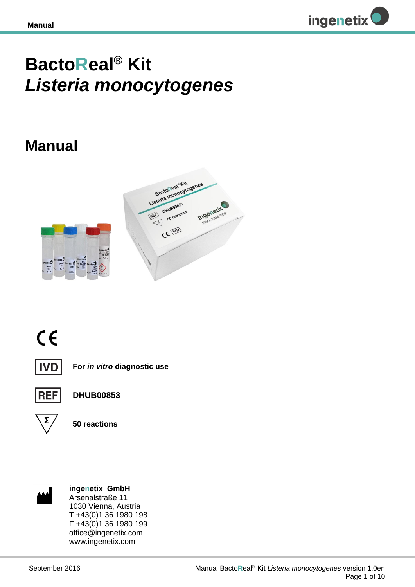

# **BactoReal® Kit**  *Listeria monocytogenes*

## **Manual**







**For** *in vitro* **diagnostic use**



**DHUB00853**



**50 reactions**



**ingenetix GmbH** Arsenalstraße 11 1030 Vienna, Austria T +43(0)1 36 1980 198 F +43(0)1 36 1980 199 office@ingenetix.com www.ingenetix.com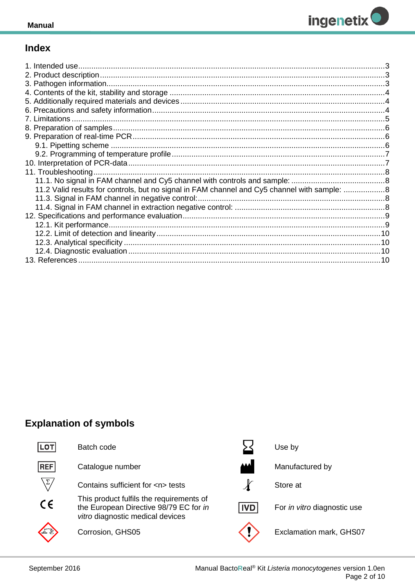

## **Index**

| 1. Intended use |  |
|-----------------|--|
|                 |  |
|                 |  |
|                 |  |
|                 |  |
|                 |  |
|                 |  |
|                 |  |
|                 |  |
|                 |  |
|                 |  |
|                 |  |
|                 |  |
|                 |  |
|                 |  |
|                 |  |
|                 |  |
|                 |  |
|                 |  |
|                 |  |
|                 |  |
|                 |  |
|                 |  |

## **Explanation of symbols**

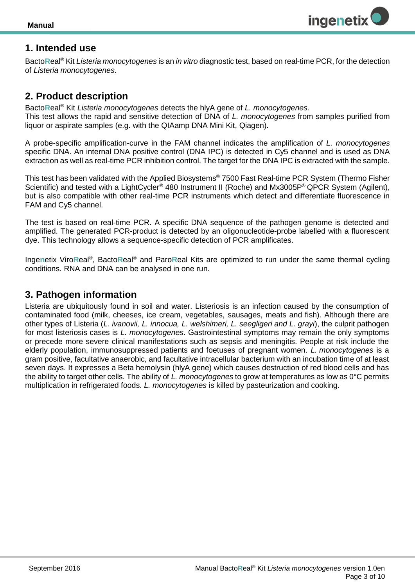

## <span id="page-2-0"></span>**1. Intended use**

Bacto**R**eal® Kit *Listeria monocytogenes* is an *in vitro* diagnostic test, based on real-time PCR, for the detection of *Listeria monocytogenes*.

## <span id="page-2-1"></span>**2. Product description**

Bacto**R**eal® Kit *Listeria monocytogenes* detects the hlyA gene of *L. monocytogenes.* This test allows the rapid and sensitive detection of DNA of *L. monocytogenes* from samples purified from liquor or aspirate samples (e.g. with the QIAamp DNA Mini Kit, Qiagen).

A probe-specific amplification-curve in the FAM channel indicates the amplification of *L. monocytogenes* specific DNA. An internal DNA positive control (DNA IPC) is detected in Cy5 channel and is used as DNA extraction as well as real-time PCR inhibition control. The target for the DNA IPC is extracted with the sample.

This test has been validated with the Applied Biosystems® 7500 Fast Real-time PCR System (Thermo Fisher Scientific) and tested with a LightCycler<sup>®</sup> 480 Instrument II (Roche) and Mx3005P<sup>®</sup> QPCR System (Agilent), but is also compatible with other real-time PCR instruments which detect and differentiate fluorescence in FAM and Cy5 channel.

The test is based on real-time PCR. A specific DNA sequence of the pathogen genome is detected and amplified. The generated PCR-product is detected by an oligonucleotide-probe labelled with a fluorescent dye. This technology allows a sequence-specific detection of PCR amplificates.

Ingenetix ViroReal<sup>®</sup>, BactoReal<sup>®</sup> and ParoReal Kits are optimized to run under the same thermal cycling conditions. RNA and DNA can be analysed in one run.

## <span id="page-2-2"></span>**3. Pathogen information**

Listeria are ubiquitously found in soil and water. Listeriosis is an infection caused by the consumption of contaminated food (milk, cheeses, ice cream, vegetables, sausages, meats and fish). Although there are other types of Listeria (*L. ivanovii, L. innocua, L. welshimeri, L. seegligeri and L. grayi*), the culprit pathogen for most listeriosis cases is *L. monocytogenes*. Gastrointestinal symptoms may remain the only symptoms or precede more severe clinical manifestations such as sepsis and meningitis. People at risk include the elderly population, immunosuppressed patients and foetuses of pregnant women. *L. monocytogenes* is a gram positive, facultative anaerobic, and facultative intracellular bacterium with an incubation time of at least seven days. It expresses a Beta hemolysin (hlyA gene) which causes destruction of red blood cells and has the ability to target other cells. The ability of *L. monocytogenes* to grow at temperatures as low as 0°C permits multiplication in refrigerated foods. *L. monocytogenes* is killed by pasteurization and cooking.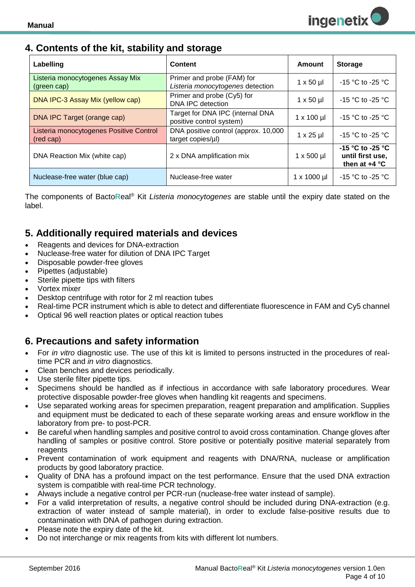## <span id="page-3-0"></span>**4. Contents of the kit, stability and storage**

| Labelling                                            | <b>Content</b>                                                 | Amount              | <b>Storage</b>                                          |
|------------------------------------------------------|----------------------------------------------------------------|---------------------|---------------------------------------------------------|
| Listeria monocytogenes Assay Mix<br>(green cap)      | Primer and probe (FAM) for<br>Listeria monocytogenes detection | $1 \times 50 \mu$   | $-15$ °C to $-25$ °C                                    |
| DNA IPC-3 Assay Mix (yellow cap)                     | Primer and probe (Cy5) for<br>DNA IPC detection                | $1 \times 50 \mu$   | $-15$ °C to $-25$ °C                                    |
| DNA IPC Target (orange cap)                          | Target for DNA IPC (internal DNA<br>positive control system)   | $1 \times 100$ µl   | $-15$ °C to -25 °C                                      |
| Listeria monocytogenes Positive Control<br>(red cap) | DNA positive control (approx. 10,000<br>target copies/µl)      | $1 \times 25$ µl    | $-15$ °C to $-25$ °C                                    |
| DNA Reaction Mix (white cap)                         | 2 x DNA amplification mix                                      | $1 \times 500$ µl   | -15 °C to -25 °C<br>until first use,<br>then at $+4$ °C |
| Nuclease-free water (blue cap)                       | Nuclease-free water                                            | $1 \times 1000 \mu$ | $-15$ °C to $-25$ °C                                    |

The components of Bacto**R**eal® Kit *Listeria monocytogenes* are stable until the expiry date stated on the label.

## <span id="page-3-1"></span>**5. Additionally required materials and devices**

- Reagents and devices for DNA-extraction
- Nuclease-free water for dilution of DNA IPC Target
- Disposable powder-free gloves
- Pipettes (adjustable)
- Sterile pipette tips with filters
- Vortex mixer
- Desktop centrifuge with rotor for 2 ml reaction tubes
- Real-time PCR instrument which is able to detect and differentiate fluorescence in FAM and Cy5 channel
- Optical 96 well reaction plates or optical reaction tubes

## <span id="page-3-2"></span>**6. Precautions and safety information**

- For *in vitro* diagnostic use. The use of this kit is limited to persons instructed in the procedures of realtime PCR and *in vitro* diagnostics.
- Clean benches and devices periodically.
- Use sterile filter pipette tips.
- Specimens should be handled as if infectious in accordance with safe laboratory procedures. Wear protective disposable powder-free gloves when handling kit reagents and specimens.
- Use separated working areas for specimen preparation, reagent preparation and amplification. Supplies and equipment must be dedicated to each of these separate working areas and ensure workflow in the laboratory from pre- to post-PCR.
- Be careful when handling samples and positive control to avoid cross contamination. Change gloves after handling of samples or positive control. Store positive or potentially positive material separately from reagents
- Prevent contamination of work equipment and reagents with DNA/RNA, nuclease or amplification products by good laboratory practice.
- Quality of DNA has a profound impact on the test performance. Ensure that the used DNA extraction system is compatible with real-time PCR technology.
- Always include a negative control per PCR-run (nuclease-free water instead of sample).
- For a valid interpretation of results, a negative control should be included during DNA-extraction (e.g. extraction of water instead of sample material), in order to exclude false-positive results due to contamination with DNA of pathogen during extraction.
- Please note the expiry date of the kit.
- Do not interchange or mix reagents from kits with different lot numbers.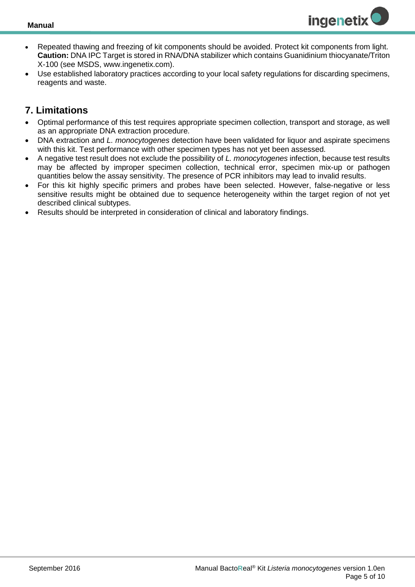

- Repeated thawing and freezing of kit components should be avoided. Protect kit components from light. **Caution:** DNA IPC Target is stored in RNA/DNA stabilizer which contains Guanidinium thiocyanate/Triton X-100 (see MSDS, www.ingenetix.com).
- Use established laboratory practices according to your local safety regulations for discarding specimens, reagents and waste.

## <span id="page-4-0"></span>**7. Limitations**

- Optimal performance of this test requires appropriate specimen collection, transport and storage, as well as an appropriate DNA extraction procedure.
- DNA extraction and *L. monocytogenes* detection have been validated for liquor and aspirate specimens with this kit. Test performance with other specimen types has not yet been assessed.
- A negative test result does not exclude the possibility of *L. monocytogenes* infection, because test results may be affected by improper specimen collection, technical error, specimen mix-up or pathogen quantities below the assay sensitivity. The presence of PCR inhibitors may lead to invalid results.
- For this kit highly specific primers and probes have been selected. However, false-negative or less sensitive results might be obtained due to sequence heterogeneity within the target region of not yet described clinical subtypes.
- Results should be interpreted in consideration of clinical and laboratory findings.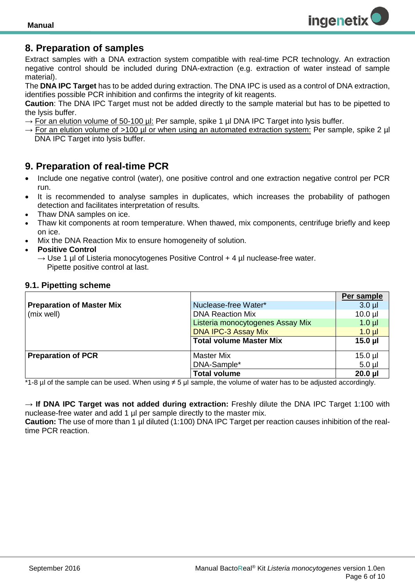

## <span id="page-5-0"></span>**8. Preparation of samples**

Extract samples with a DNA extraction system compatible with real-time PCR technology. An extraction negative control should be included during DNA-extraction (e.g. extraction of water instead of sample material).

The **DNA IPC Target** has to be added during extraction. The DNA IPC is used as a control of DNA extraction, identifies possible PCR inhibition and confirms the integrity of kit reagents.

**Caution**: The DNA IPC Target must not be added directly to the sample material but has to be pipetted to the lysis buffer.

- $\rightarrow$  For an elution volume of 50-100 µl: Per sample, spike 1 µl DNA IPC Target into lysis buffer.
- $\rightarrow$  For an elution volume of >100 µl or when using an automated extraction system: Per sample, spike 2 µl DNA IPC Target into lysis buffer.

## <span id="page-5-1"></span>**9. Preparation of real-time PCR**

- Include one negative control (water), one positive control and one extraction negative control per PCR run.
- It is recommended to analyse samples in duplicates, which increases the probability of pathogen detection and facilitates interpretation of results*.*
- Thaw DNA samples on ice.
- Thaw kit components at room temperature. When thawed, mix components, centrifuge briefly and keep on ice.
- Mix the DNA Reaction Mix to ensure homogeneity of solution.
- **Positive Control**
	- $\rightarrow$  Use 1 µl of Listeria monocytogenes Positive Control + 4 µl nuclease-free water. Pipette positive control at last.

#### <span id="page-5-2"></span>**9.1. Pipetting scheme**

|                                  |                                  | Per sample   |
|----------------------------------|----------------------------------|--------------|
| <b>Preparation of Master Mix</b> | Nuclease-free Water*             | $3.0$ $\mu$  |
| (mix well)                       | <b>DNA Reaction Mix</b>          | $10.0$ $\mu$ |
|                                  | Listeria monocytogenes Assay Mix | $1.0$ $\mu$  |
|                                  | <b>DNA IPC-3 Assay Mix</b>       | $1.0 \mu$    |
|                                  | <b>Total volume Master Mix</b>   | $15.0$ µl    |
|                                  |                                  |              |
| <b>Preparation of PCR</b>        | <b>Master Mix</b>                | $15.0$ $\mu$ |
|                                  | DNA-Sample*                      | $5.0$ µl     |
|                                  | <b>Total volume</b>              | $20.0$ $\mu$ |

\*1-8 µl of the sample can be used. When using ≠ 5 µl sample, the volume of water has to be adjusted accordingly.

→ **If DNA IPC Target was not added during extraction:** Freshly dilute the DNA IPC Target 1:100 with nuclease-free water and add 1 µl per sample directly to the master mix.

**Caution:** The use of more than 1 µl diluted (1:100) DNA IPC Target per reaction causes inhibition of the realtime PCR reaction.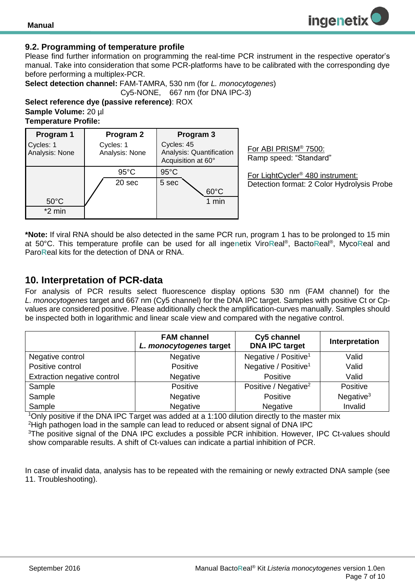#### <span id="page-6-0"></span>**9.2. Programming of temperature profile**

Please find further information on programming the real-time PCR instrument in the respective operator's manual. Take into consideration that some PCR-platforms have to be calibrated with the corresponding dye before performing a multiplex-PCR.

**Select detection channel:** FAM-TAMRA, 530 nm (for *L. monocytogenes*) Cy5-NONE, 667 nm (for DNA IPC-3)

**Select reference dye (passive reference)**: ROX **Sample Volume:** 20 µl **Temperature Profile:** 

| Program 1                   | Program 2                   | Program 3                                                    |
|-----------------------------|-----------------------------|--------------------------------------------------------------|
| Cycles: 1<br>Analysis: None | Cycles: 1<br>Analysis: None | Cycles: 45<br>Analysis: Quantification<br>Acquisition at 60° |
|                             | $95^{\circ}$ C              | $95^{\circ}$ C                                               |
|                             | 20 sec                      | 5 sec<br>$60^{\circ}$ C                                      |
| $50^{\circ}$ C<br>$*2$ min  |                             | 1 min                                                        |

For ABI PRISM® 7500: Ramp speed: "Standard"

For LightCycler® 480 instrument: Detection format: 2 Color Hydrolysis Probe

**\*Note:** If viral RNA should be also detected in the same PCR run, program 1 has to be prolonged to 15 min at 50°C. This temperature profile can be used for all inge**n**etix Viro**R**eal® , Bacto**R**eal® , Myco**R**eal and Paro**R**eal kits for the detection of DNA or RNA.

### <span id="page-6-1"></span>**10. Interpretation of PCR-data**

For analysis of PCR results select fluorescence display options 530 nm (FAM channel) for the *L. monocytogenes* target and 667 nm (Cy5 channel) for the DNA IPC target. Samples with positive Ct or Cpvalues are considered positive. Please additionally check the amplification-curves manually. Samples should be inspected both in logarithmic and linear scale view and compared with the negative control.

|                             | <b>FAM channel</b><br>L. monocytogenes target | Cy5 channel<br><b>DNA IPC target</b> | Interpretation |
|-----------------------------|-----------------------------------------------|--------------------------------------|----------------|
| Negative control            | Negative                                      | Negative / Positive <sup>1</sup>     | Valid          |
| Positive control            | Positive                                      | Negative / Positive <sup>1</sup>     | Valid          |
| Extraction negative control | Negative                                      | Positive                             | Valid          |
| Sample                      | Positive                                      | Positive / Negative <sup>2</sup>     | Positive       |
| Sample                      | Negative                                      | Positive                             | Negative $3$   |
| Sample                      | Negative                                      | Negative                             | Invalid        |

<sup>1</sup>Only positive if the DNA IPC Target was added at a 1:100 dilution directly to the master mix <sup>2</sup>High pathogen load in the sample can lead to reduced or absent signal of DNA IPC <sup>3</sup>The positive signal of the DNA IPC excludes a possible PCR inhibition. However, IPC Ct-values should show comparable results. A shift of Ct-values can indicate a partial inhibition of PCR.

<span id="page-6-2"></span>In case of invalid data, analysis has to be repeated with the remaining or newly extracted DNA sample (see 11. Troubleshooting).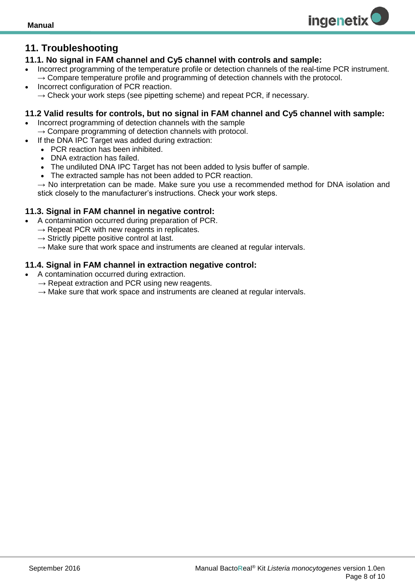## **11. Troubleshooting**

#### <span id="page-7-0"></span>**11.1. No signal in FAM channel and Cy5 channel with controls and sample:**

 Incorrect programming of the temperature profile or detection channels of the real-time PCR instrument.  $\rightarrow$  Compare temperature profile and programming of detection channels with the protocol.

**ingenetix** 

 Incorrect configuration of PCR reaction.  $\rightarrow$  Check your work steps (see pipetting scheme) and repeat PCR, if necessary.

#### <span id="page-7-1"></span>**11.2 Valid results for controls, but no signal in FAM channel and Cy5 channel with sample:**

- Incorrect programming of detection channels with the sample  $\rightarrow$  Compare programming of detection channels with protocol.
- If the DNA IPC Target was added during extraction:
	- PCR reaction has been inhibited.
	- DNA extraction has failed.
	- The undiluted DNA IPC Target has not been added to lysis buffer of sample.
	- The extracted sample has not been added to PCR reaction.

 $\rightarrow$  No interpretation can be made. Make sure you use a recommended method for DNA isolation and stick closely to the manufacturer's instructions. Check your work steps.

#### <span id="page-7-2"></span>**11.3. Signal in FAM channel in negative control:**

- A contamination occurred during preparation of PCR.
	- $\rightarrow$  Repeat PCR with new reagents in replicates.
	- $\rightarrow$  Strictly pipette positive control at last.
	- $\rightarrow$  Make sure that work space and instruments are cleaned at regular intervals.

#### <span id="page-7-3"></span>**11.4. Signal in FAM channel in extraction negative control:**

- <span id="page-7-4"></span> A contamination occurred during extraction.
	- $\rightarrow$  Repeat extraction and PCR using new reagents.
	- $\rightarrow$  Make sure that work space and instruments are cleaned at regular intervals.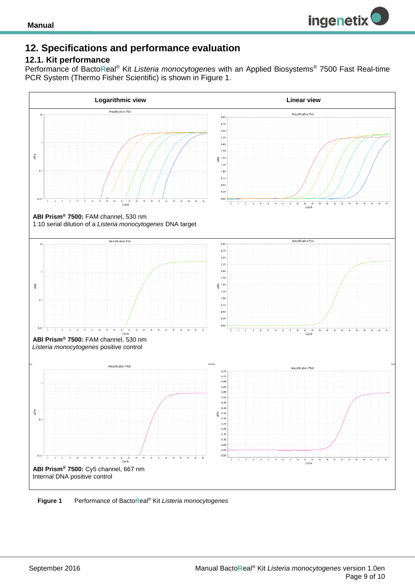

## **12. Specifications and performance evaluation**

#### <span id="page-8-0"></span>**12.1. Kit performance**

Performance of Bacto**R**eal® Kit *Listeria monocytogenes* with an Applied Biosystems® 7500 Fast Real-time PCR System (Thermo Fisher Scientific) is shown in Figure 1.



**Figure 1** Performance of Bacto**R**eal® Kit *Listeria monocytogenes*